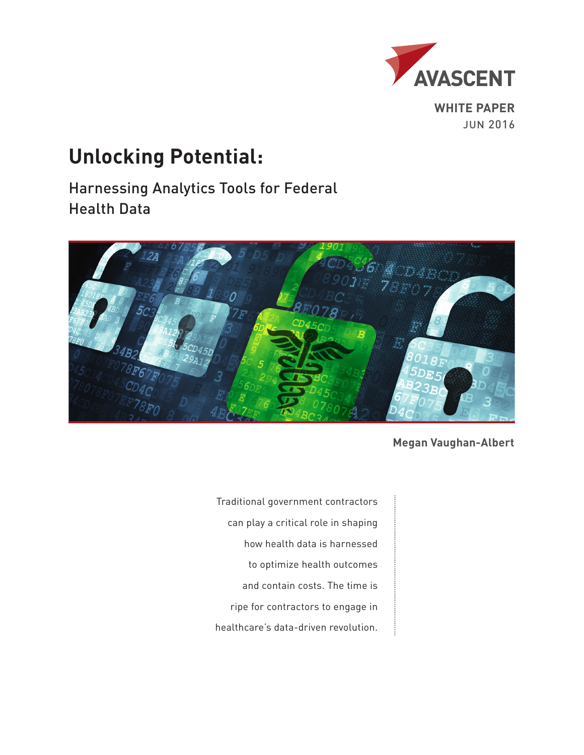

**WHITE PAPER** JUN 2016

# **Unlocking Potential:**

Harnessing Analytics Tools for Federal Health Data



**Megan Vaughan-Albert**

Traditional government contractors can play a critical role in shaping how health data is harnessed to optimize health outcomes and contain costs. The time is ripe for contractors to engage in healthcare's data-driven revolution.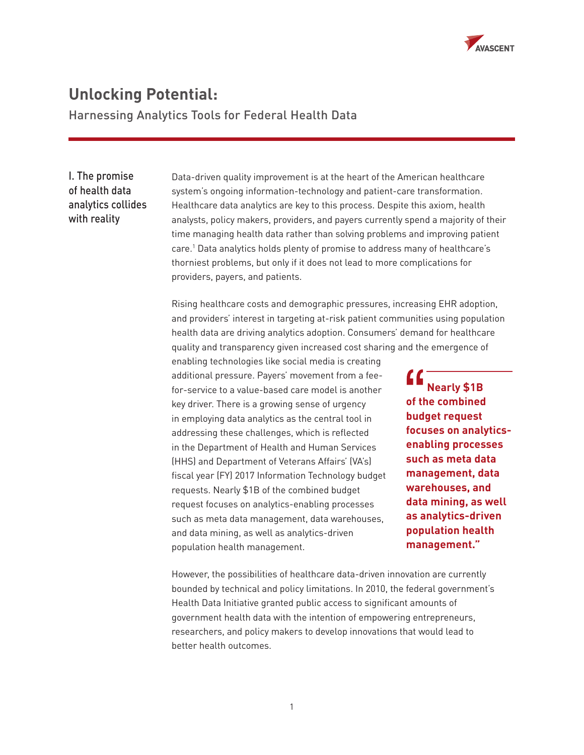

## **Unlocking Potential:**

Harnessing Analytics Tools for Federal Health Data

## I. The promise of health data analytics collides with reality

Data-driven quality improvement is at the heart of the American healthcare system's ongoing information-technology and patient-care transformation. Healthcare data analytics are key to this process. Despite this axiom, health analysts, policy makers, providers, and payers currently spend a majority of their time managing health data rather than solving problems and improving patient care.1 Data analytics holds plenty of promise to address many of healthcare's thorniest problems, but only if it does not lead to more complications for providers, payers, and patients.

Rising healthcare costs and demographic pressures, increasing EHR adoption, and providers' interest in targeting at-risk patient communities using population health data are driving analytics adoption. Consumers' demand for healthcare quality and transparency given increased cost sharing and the emergence of

enabling technologies like social media is creating additional pressure. Payers' movement from a feefor-service to a value-based care model is another key driver. There is a growing sense of urgency in employing data analytics as the central tool in addressing these challenges, which is reflected in the Department of Health and Human Services (HHS) and Department of Veterans Affairs' (VA's) fiscal year (FY) 2017 Information Technology budget requests. Nearly \$1B of the combined budget request focuses on analytics-enabling processes such as meta data management, data warehouses, and data mining, as well as analytics-driven population health management.

 **Nearly \$1B of the combined budget request focuses on analyticsenabling processes such as meta data management, data warehouses, and data mining, as well as analytics-driven population health management."**

However, the possibilities of healthcare data-driven innovation are currently bounded by technical and policy limitations. In 2010, the federal government's Health Data Initiative granted public access to significant amounts of government health data with the intention of empowering entrepreneurs, researchers, and policy makers to develop innovations that would lead to better health outcomes.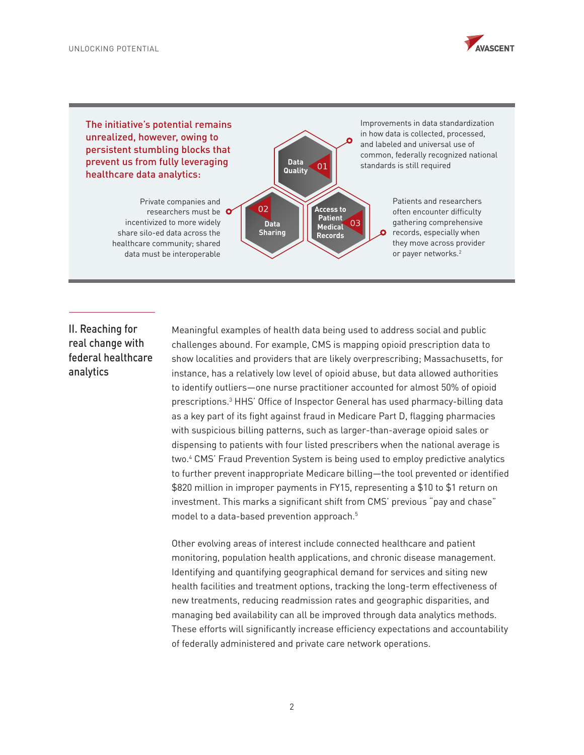

The initiative's potential remains unrealized, however, owing to persistent stumbling blocks that prevent us from fully leveraging healthcare data analytics:

> Private companies and researchers must be incentivized to more widely share silo-ed data across the healthcare community; shared data must be interoperable



Improvements in data standardization in how data is collected, processed, and labeled and universal use of common, federally recognized national standards is still required

> Patients and researchers often encounter difficulty gathering comprehensive records, especially when they move across provider or payer networks.2

## II. Reaching for real change with federal healthcare analytics

Meaningful examples of health data being used to address social and public challenges abound. For example, CMS is mapping opioid prescription data to show localities and providers that are likely overprescribing; Massachusetts, for instance, has a relatively low level of opioid abuse, but data allowed authorities to identify outliers—one nurse practitioner accounted for almost 50% of opioid prescriptions.3 HHS' Office of Inspector General has used pharmacy-billing data as a key part of its fight against fraud in Medicare Part D, flagging pharmacies with suspicious billing patterns, such as larger-than-average opioid sales or dispensing to patients with four listed prescribers when the national average is two.4 CMS' Fraud Prevention System is being used to employ predictive analytics to further prevent inappropriate Medicare billing—the tool prevented or identified \$820 million in improper payments in FY15, representing a \$10 to \$1 return on investment. This marks a significant shift from CMS' previous "pay and chase" model to a data-based prevention approach.5

Other evolving areas of interest include connected healthcare and patient monitoring, population health applications, and chronic disease management. Identifying and quantifying geographical demand for services and siting new health facilities and treatment options, tracking the long-term effectiveness of new treatments, reducing readmission rates and geographic disparities, and managing bed availability can all be improved through data analytics methods. These efforts will significantly increase efficiency expectations and accountability of federally administered and private care network operations.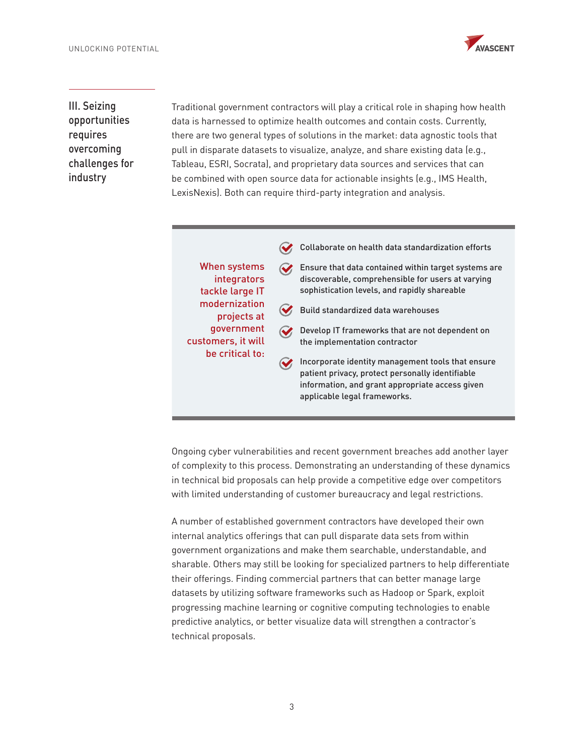

III. Seizing opportunities requires overcoming challenges for industry

Traditional government contractors will play a critical role in shaping how health data is harnessed to optimize health outcomes and contain costs. Currently, there are two general types of solutions in the market: data agnostic tools that pull in disparate datasets to visualize, analyze, and share existing data (e.g., Tableau, ESRI, Socrata), and proprietary data sources and services that can be combined with open source data for actionable insights (e.g., IMS Health, LexisNexis). Both can require third-party integration and analysis.

|                                                                                                                                       | Collaborate on health data standardization efforts                                                                                                                                       |
|---------------------------------------------------------------------------------------------------------------------------------------|------------------------------------------------------------------------------------------------------------------------------------------------------------------------------------------|
| When systems<br>integrators<br>tackle large IT<br>modernization<br>projects at<br>government<br>customers, it will<br>be critical to: | Ensure that data contained within target systems are<br>discoverable, comprehensible for users at varying<br>sophistication levels, and rapidly shareable                                |
|                                                                                                                                       | Build standardized data warehouses                                                                                                                                                       |
|                                                                                                                                       | Develop IT frameworks that are not dependent on<br>the implementation contractor                                                                                                         |
|                                                                                                                                       | Incorporate identity management tools that ensure<br>patient privacy, protect personally identifiable<br>information, and grant appropriate access given<br>applicable legal frameworks. |

Ongoing cyber vulnerabilities and recent government breaches add another layer of complexity to this process. Demonstrating an understanding of these dynamics in technical bid proposals can help provide a competitive edge over competitors with limited understanding of customer bureaucracy and legal restrictions.

A number of established government contractors have developed their own internal analytics offerings that can pull disparate data sets from within government organizations and make them searchable, understandable, and sharable. Others may still be looking for specialized partners to help differentiate their offerings. Finding commercial partners that can better manage large datasets by utilizing software frameworks such as Hadoop or Spark, exploit progressing machine learning or cognitive computing technologies to enable predictive analytics, or better visualize data will strengthen a contractor's technical proposals.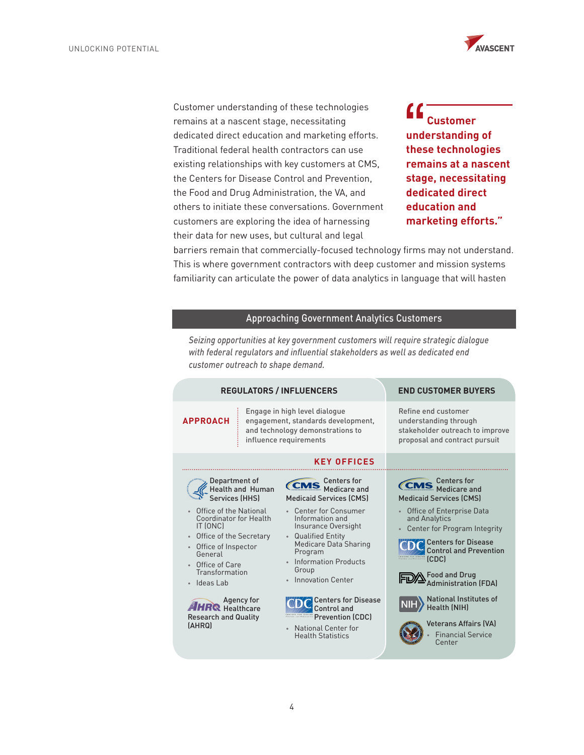

Customer understanding of these technologies remains at a nascent stage, necessitating dedicated direct education and marketing efforts. Traditional federal health contractors can use existing relationships with key customers at CMS, the Centers for Disease Control and Prevention, the Food and Drug Administration, the VA, and others to initiate these conversations. Government customers are exploring the idea of harnessing their data for new uses, but cultural and legal

 **Customer understanding of these technologies remains at a nascent stage, necessitating dedicated direct education and marketing efforts."**

barriers remain that commercially-focused technology firms may not understand. This is where government contractors with deep customer and mission systems familiarity can articulate the power of data analytics in language that will hasten

### Approaching Government Analytics Customers

*Seizing opportunities at key government customers will require strategic dialogue*  with federal regulators and influential stakeholders as well as dedicated end *customer outreach to shape demand.*

| <b>REGULATORS / INFLUENCERS</b>                                                                                                                                                                                                                | <b>END CUSTOMER BUYERS</b>                                                                                                                                                                                                                                                              |                                                                                                                                                                                                                                                                                                      |
|------------------------------------------------------------------------------------------------------------------------------------------------------------------------------------------------------------------------------------------------|-----------------------------------------------------------------------------------------------------------------------------------------------------------------------------------------------------------------------------------------------------------------------------------------|------------------------------------------------------------------------------------------------------------------------------------------------------------------------------------------------------------------------------------------------------------------------------------------------------|
| <b>APPROACH</b>                                                                                                                                                                                                                                | Engage in high level dialogue<br>engagement, standards development,<br>and technology demonstrations to<br>influence requirements                                                                                                                                                       | Refine end customer<br>understanding through<br>stakeholder outreach to improve<br>proposal and contract pursuit                                                                                                                                                                                     |
|                                                                                                                                                                                                                                                | <b>KEY OFFICES</b>                                                                                                                                                                                                                                                                      |                                                                                                                                                                                                                                                                                                      |
| Department of<br>Health and Human<br>Services (HHS)<br>Office of the National<br>Coordinator for Health<br>IT (ONC)<br>Office of the Secretary<br>$\bullet$<br>Office of Inspector<br>General<br>Office of Care<br>Transformation<br>ldeas Lab | <b>Centers for</b><br><b>CMS</b><br>Medicare and<br><b>Medicaid Services (CMS)</b><br>• Center for Consumer<br>Information and<br>Insurance Oversight<br><b>Qualified Entity</b><br>$\bullet$<br>Medicare Data Sharing<br>Program<br>Information Products<br>Group<br>Innovation Center | <b>Centers for</b><br><b>CMS</b> Medicare and<br><b>Medicaid Services (CMS)</b><br>Office of Enterprise Data<br>and Analytics<br>Center for Program Integrity<br>۰<br><b>Centers for Disease</b><br><b>Control and Prevention</b><br>(CDC)<br>$\Lambda$ Food and Drug<br><b>Administration (FDA)</b> |
| Agency for<br>R Healthcare<br><b>Research and Quality</b><br>[AHRQ]                                                                                                                                                                            | <b>Centers for Disease</b><br>Control and<br><b>Prevention (CDC)</b><br><b>National Center for</b><br>$\bullet$<br><b>Health Statistics</b>                                                                                                                                             | <b>National Institutes of</b><br><b>Health (NIH)</b><br><b>Veterans Affairs (VA)</b><br><b>Financial Service</b><br>Center                                                                                                                                                                           |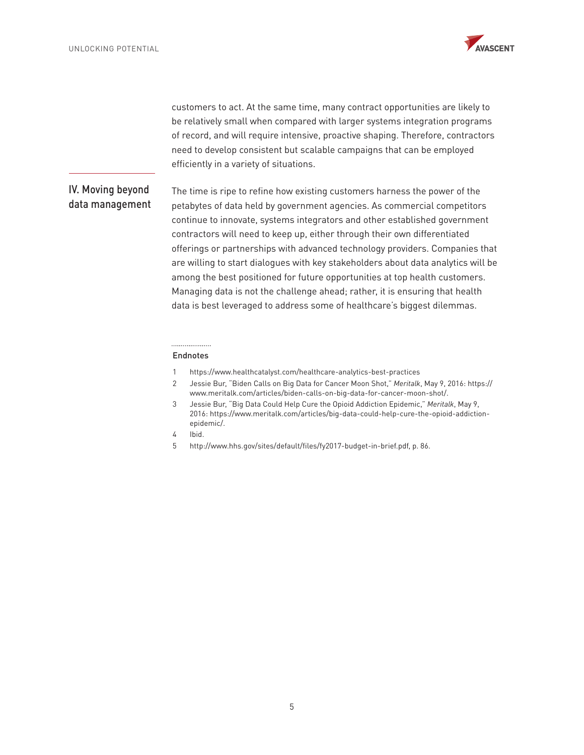

customers to act. At the same time, many contract opportunities are likely to be relatively small when compared with larger systems integration programs of record, and will require intensive, proactive shaping. Therefore, contractors need to develop consistent but scalable campaigns that can be employed efficiently in a variety of situations.

## IV. Moving beyond data management

The time is ripe to refine how existing customers harness the power of the petabytes of data held by government agencies. As commercial competitors continue to innovate, systems integrators and other established government contractors will need to keep up, either through their own differentiated offerings or partnerships with advanced technology providers. Companies that are willing to start dialogues with key stakeholders about data analytics will be among the best positioned for future opportunities at top health customers. Managing data is not the challenge ahead; rather, it is ensuring that health data is best leveraged to address some of healthcare's biggest dilemmas.

#### ................... Endnotes

- 1 <https://www.healthcatalyst.com/healthcare-analytics-best-practices>
- 2 Jessie Bur, "Biden Calls on Big Data for Cancer Moon Shot," *Meritalk*, May 9, 2016: https:// www.meritalk.com/articles/biden-calls-on-big-data-for-cancer-moon-shot/.
- 3 Jessie Bur, "Big Data Could Help Cure the Opioid Addiction Epidemic," *Meritalk*, May 9, 2016: https://www.meritalk.com/articles/big-data-could-help-cure-the-opioid-addictionepidemic/.
- 4 Ibid.
- 5 http://www.hhs.gov/sites/default/files/fy2017-budget-in-brief.pdf, p. 86.